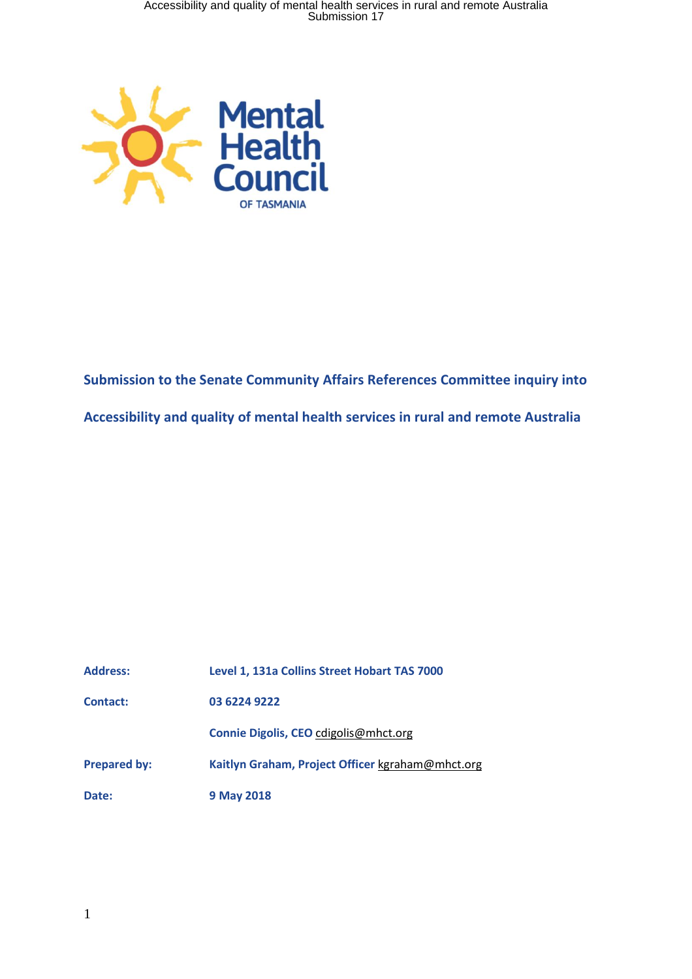

**Submission to the Senate Community Affairs References Committee inquiry into Accessibility and quality of mental health services in rural and remote Australia**

| <b>Address:</b>     | Level 1, 131a Collins Street Hobart TAS 7000     |
|---------------------|--------------------------------------------------|
| <b>Contact:</b>     | 03 6224 9222                                     |
|                     | Connie Digolis, CEO cdigolis@mhct.org            |
| <b>Prepared by:</b> | Kaitlyn Graham, Project Officer kgraham@mhct.org |
| Date:               | 9 May 2018                                       |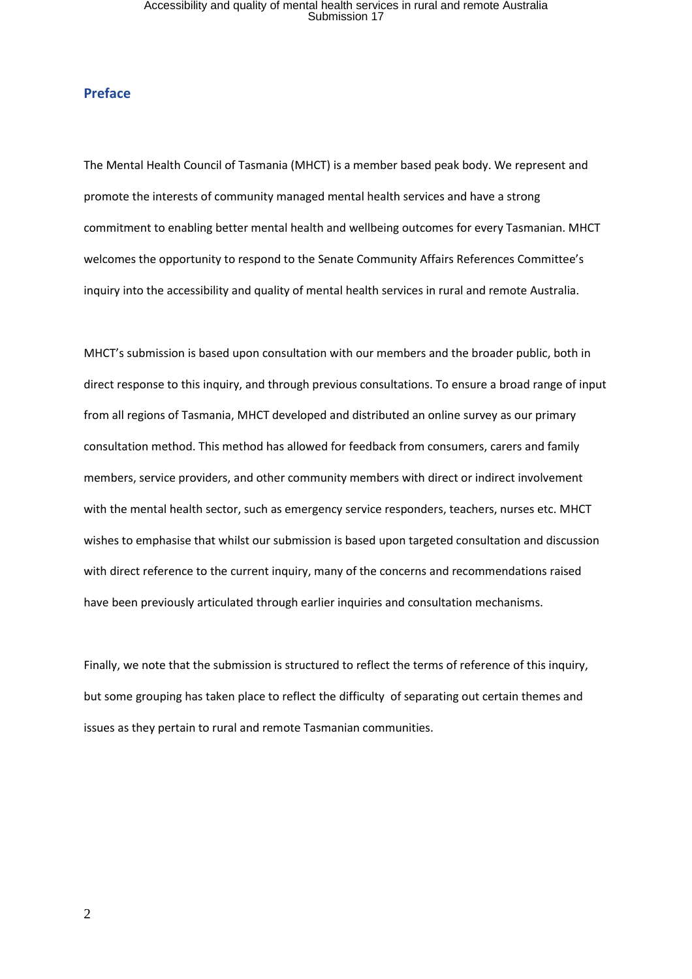#### **Preface**

The Mental Health Council of Tasmania (MHCT) is a member based peak body. We represent and promote the interests of community managed mental health services and have a strong commitment to enabling better mental health and wellbeing outcomes for every Tasmanian. MHCT welcomes the opportunity to respond to the Senate Community Affairs References Committee's inquiry into the accessibility and quality of mental health services in rural and remote Australia.

MHCT's submission is based upon consultation with our members and the broader public, both in direct response to this inquiry, and through previous consultations. To ensure a broad range of input from all regions of Tasmania, MHCT developed and distributed an online survey as our primary consultation method. This method has allowed for feedback from consumers, carers and family members, service providers, and other community members with direct or indirect involvement with the mental health sector, such as emergency service responders, teachers, nurses etc. MHCT wishes to emphasise that whilst our submission is based upon targeted consultation and discussion with direct reference to the current inquiry, many of the concerns and recommendations raised have been previously articulated through earlier inquiries and consultation mechanisms.

Finally, we note that the submission is structured to reflect the terms of reference of this inquiry, but some grouping has taken place to reflect the difficulty of separating out certain themes and issues as they pertain to rural and remote Tasmanian communities.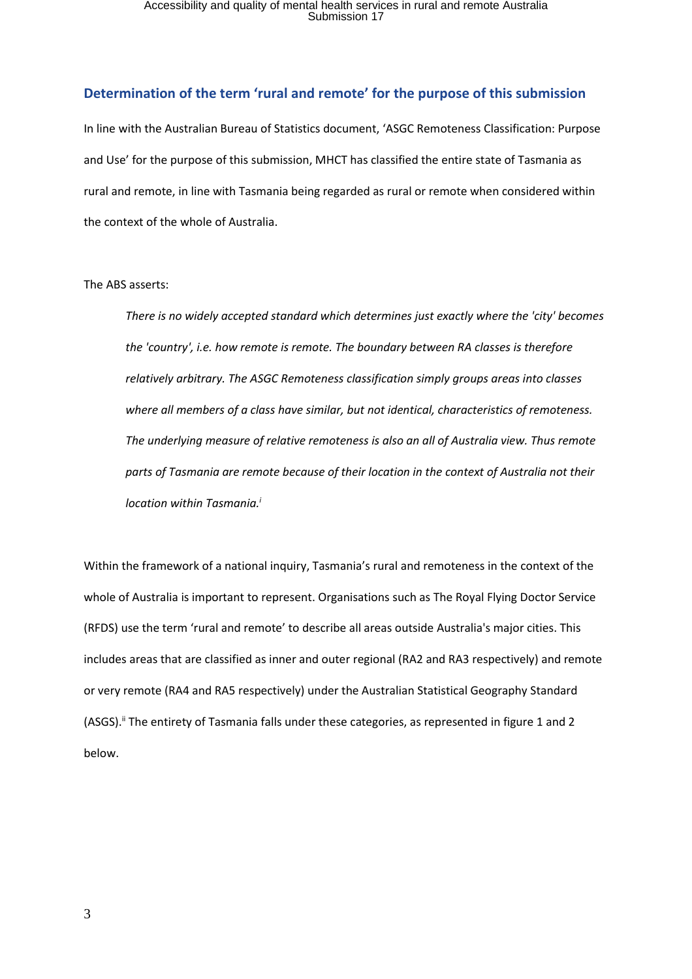### **Determination of the term 'rural and remote' for the purpose of this submission**

In line with the Australian Bureau of Statistics document, 'ASGC Remoteness Classification: Purpose and Use' for the purpose of this submission, MHCT has classified the entire state of Tasmania as rural and remote, in line with Tasmania being regarded as rural or remote when considered within the context of the whole of Australia.

#### The ABS asserts:

*There is no widely accepted standard which determines just exactly where the 'city' becomes the 'country', i.e. how remote is remote. The boundary between RA classes is therefore relatively arbitrary. The ASGC Remoteness classification simply groups areas into classes where all members of a class have similar, but not identical, characteristics of remoteness. The underlying measure of relative remoteness is also an all of Australia view. Thus remote parts of Tasmania are remote because of their location in the context of Australia not their location within Tasmania.<sup>i</sup>*

Within the framework of a national inquiry, Tasmania's rural and remoteness in the context of the whole of Australia is important to represent. Organisations such as The Royal Flying Doctor Service (RFDS) use the term 'rural and remote' to describe all areas outside Australia's major cities. This includes areas that are classified as inner and outer regional (RA2 and RA3 respectively) and remote or very remote (RA4 and RA5 respectively) under the Australian Statistical Geography Standard (ASGS).<sup>ii</sup> The entirety of Tasmania falls under these categories, as represented in figure 1 and 2 below.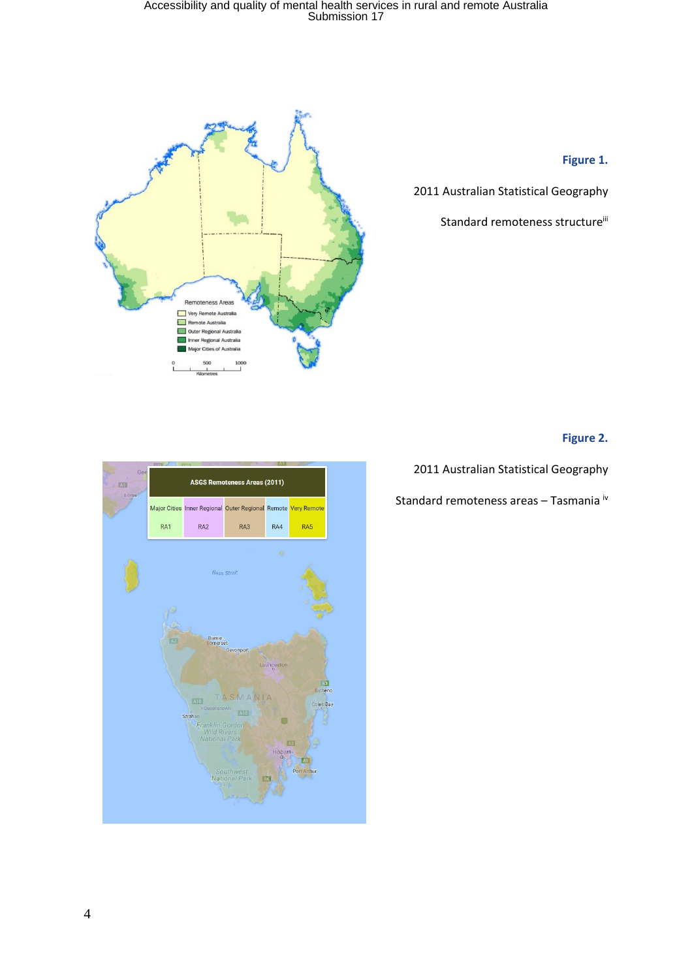

**Figure 1.**

2011 Australian Statistical Geography

Standard remoteness structure<sup>iii</sup>

#### **Figure 2.**

2011 Australian Statistical Geography

Standard remoteness areas - Tasmania iv

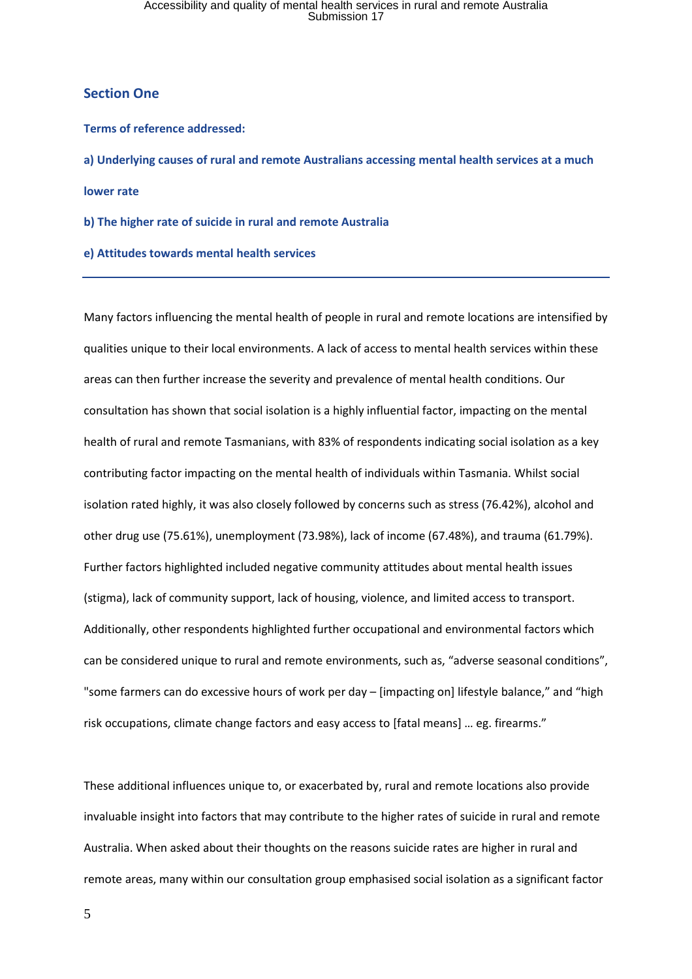#### **Section One**

#### **Terms of reference addressed:**

**a) Underlying causes of rural and remote Australians accessing mental health services at a much lower rate**

**b) The higher rate of suicide in rural and remote Australia**

**e) Attitudes towards mental health services**

Many factors influencing the mental health of people in rural and remote locations are intensified by qualities unique to their local environments. A lack of access to mental health services within these areas can then further increase the severity and prevalence of mental health conditions. Our consultation has shown that social isolation is a highly influential factor, impacting on the mental health of rural and remote Tasmanians, with 83% of respondents indicating social isolation as a key contributing factor impacting on the mental health of individuals within Tasmania. Whilst social isolation rated highly, it was also closely followed by concerns such as stress (76.42%), alcohol and other drug use (75.61%), unemployment (73.98%), lack of income (67.48%), and trauma (61.79%). Further factors highlighted included negative community attitudes about mental health issues (stigma), lack of community support, lack of housing, violence, and limited access to transport. Additionally, other respondents highlighted further occupational and environmental factors which can be considered unique to rural and remote environments, such as, "adverse seasonal conditions", "some farmers can do excessive hours of work per day - [impacting on] lifestyle balance," and "high risk occupations, climate change factors and easy access to [fatal means] … eg. firearms."

These additional influences unique to, or exacerbated by, rural and remote locations also provide invaluable insight into factors that may contribute to the higher rates of suicide in rural and remote Australia. When asked about their thoughts on the reasons suicide rates are higher in rural and remote areas, many within our consultation group emphasised social isolation as a significant factor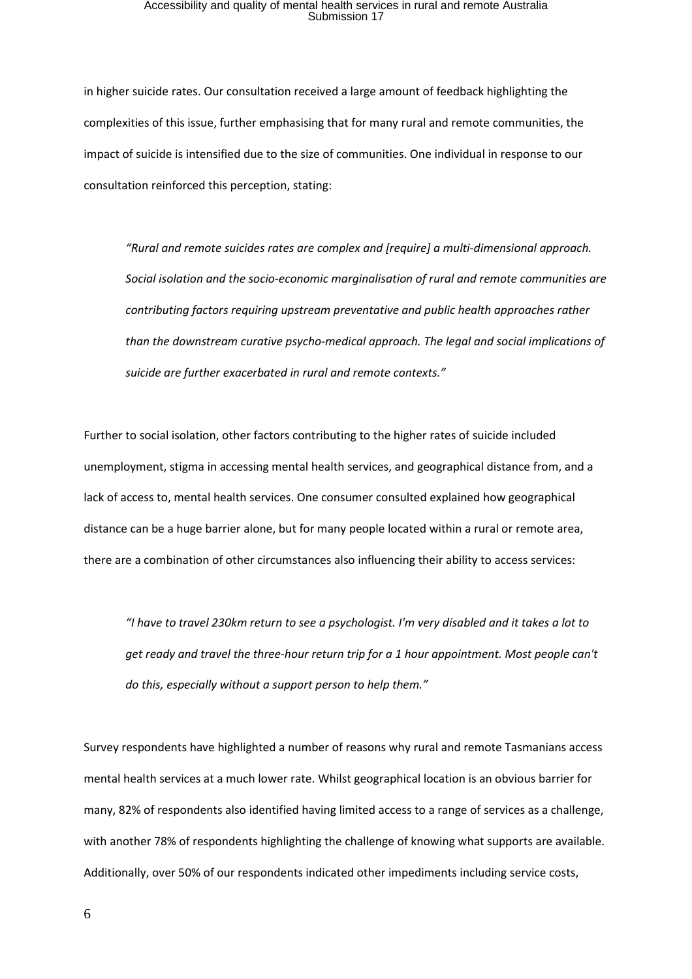in higher suicide rates. Our consultation received a large amount of feedback highlighting the complexities of this issue, further emphasising that for many rural and remote communities, the impact of suicide is intensified due to the size of communities. One individual in response to our consultation reinforced this perception, stating:

*"Rural and remote suicides rates are complex and [require] a multi-dimensional approach. Social isolation and the socio-economic marginalisation of rural and remote communities are contributing factors requiring upstream preventative and public health approaches rather than the downstream curative psycho-medical approach. The legal and social implications of suicide are further exacerbated in rural and remote contexts."*

Further to social isolation, other factors contributing to the higher rates of suicide included unemployment, stigma in accessing mental health services, and geographical distance from, and a lack of access to, mental health services. One consumer consulted explained how geographical distance can be a huge barrier alone, but for many people located within a rural or remote area, there are a combination of other circumstances also influencing their ability to access services:

"I have to travel 230km return to see a psychologist. I'm very disabled and it takes a lot to *get ready and travel the three-hour return trip for a 1 hour appointment. Most people can't do this, especially without a support person to help them."*

Survey respondents have highlighted a number of reasons why rural and remote Tasmanians access mental health services at a much lower rate. Whilst geographical location is an obvious barrier for many, 82% of respondents also identified having limited access to a range of services as a challenge, with another 78% of respondents highlighting the challenge of knowing what supports are available. Additionally, over 50% of our respondents indicated other impediments including service costs,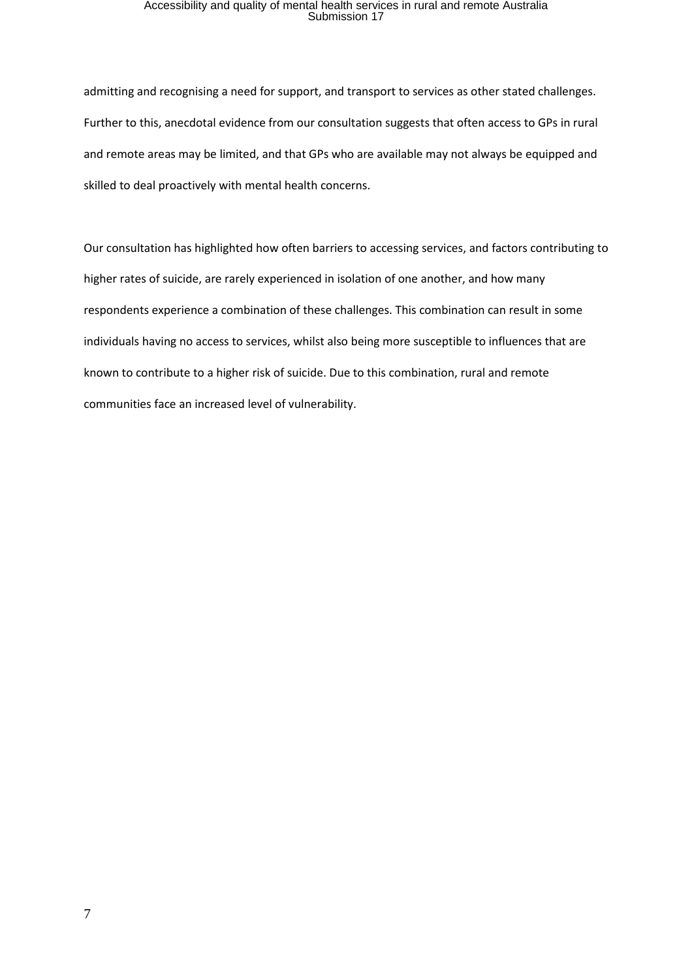admitting and recognising a need for support, and transport to services as other stated challenges. Further to this, anecdotal evidence from our consultation suggests that often access to GPs in rural and remote areas may be limited, and that GPs who are available may not always be equipped and skilled to deal proactively with mental health concerns.

Our consultation has highlighted how often barriers to accessing services, and factors contributing to higher rates of suicide, are rarely experienced in isolation of one another, and how many respondents experience a combination of these challenges. This combination can result in some individuals having no access to services, whilst also being more susceptible to influences that are known to contribute to a higher risk of suicide. Due to this combination, rural and remote communities face an increased level of vulnerability.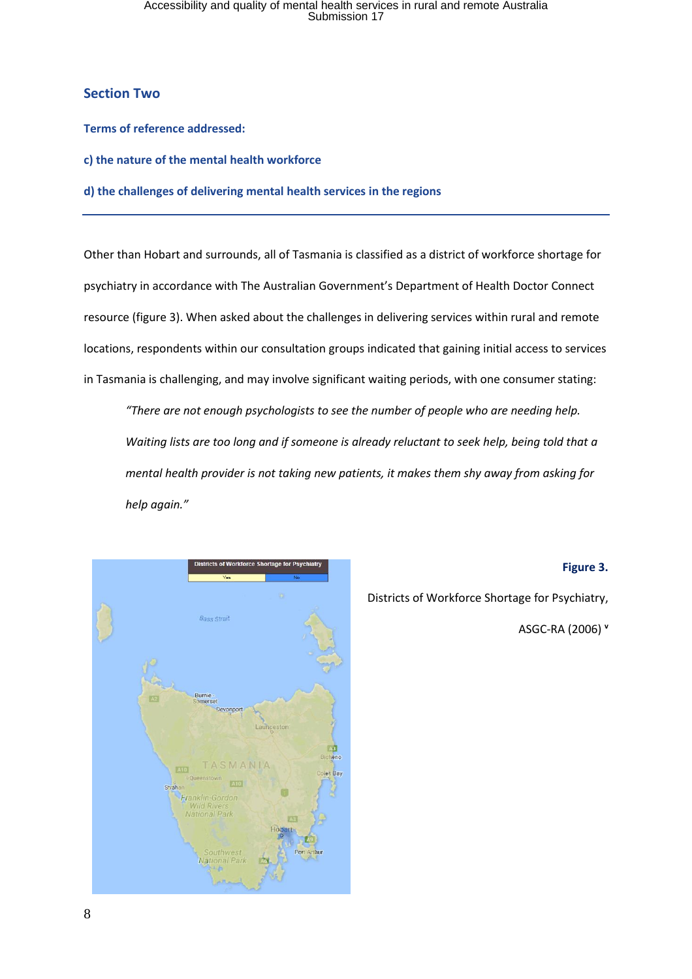#### **Section Two**

**Terms of reference addressed:**

**c) the nature of the mental health workforce**

**d) the challenges of delivering mental health services in the regions**

Other than Hobart and surrounds, all of Tasmania is classified as a district of workforce shortage for psychiatry in accordance with The Australian Government's Department of Health Doctor Connect resource (figure 3). When asked about the challenges in delivering services within rural and remote locations, respondents within our consultation groups indicated that gaining initial access to services in Tasmania is challenging, and may involve significant waiting periods, with one consumer stating:

*"There are not enough psychologists to see the number of people who are needing help. Waiting lists are too long and if someone is already reluctant to seek help, being told that a mental health provider is not taking new patients, it makes them shy away from asking for help again."*



#### **Figure 3.**

Districts of Workforce Shortage for Psychiatry,

ASGC-RA (2006) **<sup>v</sup>**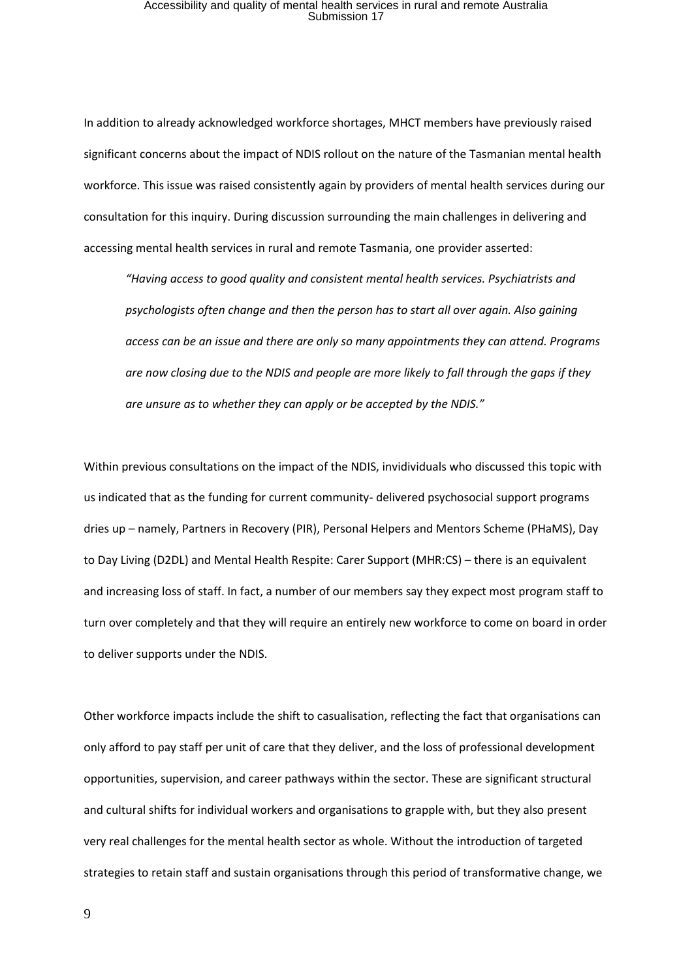In addition to already acknowledged workforce shortages, MHCT members have previously raised significant concerns about the impact of NDIS rollout on the nature of the Tasmanian mental health workforce. This issue was raised consistently again by providers of mental health services during our consultation for this inquiry. During discussion surrounding the main challenges in delivering and accessing mental health services in rural and remote Tasmania, one provider asserted:

*"Having access to good quality and consistent mental health services. Psychiatrists and psychologists often change and then the person has to start all over again. Also gaining access can be an issue and there are only so many appointments they can attend. Programs are now closing due to the NDIS and people are more likely to fall through the gaps if they are unsure as to whether they can apply or be accepted by the NDIS."*

Within previous consultations on the impact of the NDIS, invidividuals who discussed this topic with us indicated that as the funding for current community- delivered psychosocial support programs dries up – namely, Partners in Recovery (PIR), Personal Helpers and Mentors Scheme (PHaMS), Day to Day Living (D2DL) and Mental Health Respite: Carer Support (MHR:CS) – there is an equivalent and increasing loss of staff. In fact, a number of our members say they expect most program staff to turn over completely and that they will require an entirely new workforce to come on board in order to deliver supports under the NDIS.

Other workforce impacts include the shift to casualisation, reflecting the fact that organisations can only afford to pay staff per unit of care that they deliver, and the loss of professional development opportunities, supervision, and career pathways within the sector. These are significant structural and cultural shifts for individual workers and organisations to grapple with, but they also present very real challenges for the mental health sector as whole. Without the introduction of targeted strategies to retain staff and sustain organisations through this period of transformative change, we

9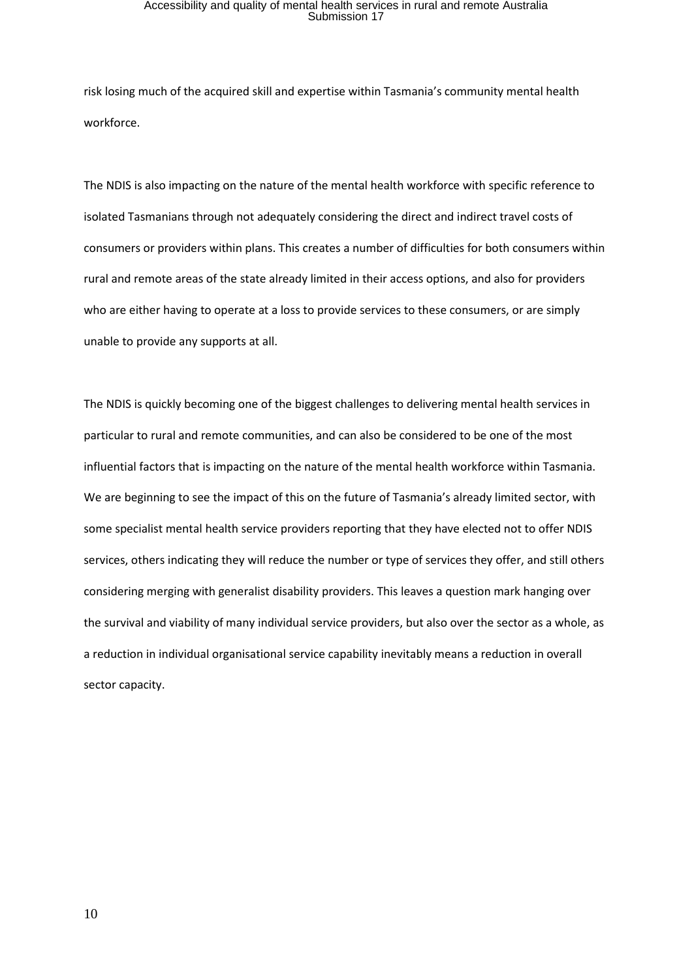risk losing much of the acquired skill and expertise within Tasmania's community mental health workforce.

The NDIS is also impacting on the nature of the mental health workforce with specific reference to isolated Tasmanians through not adequately considering the direct and indirect travel costs of consumers or providers within plans. This creates a number of difficulties for both consumers within rural and remote areas of the state already limited in their access options, and also for providers who are either having to operate at a loss to provide services to these consumers, or are simply unable to provide any supports at all.

The NDIS is quickly becoming one of the biggest challenges to delivering mental health services in particular to rural and remote communities, and can also be considered to be one of the most influential factors that is impacting on the nature of the mental health workforce within Tasmania. We are beginning to see the impact of this on the future of Tasmania's already limited sector, with some specialist mental health service providers reporting that they have elected not to offer NDIS services, others indicating they will reduce the number or type of services they offer, and still others considering merging with generalist disability providers. This leaves a question mark hanging over the survival and viability of many individual service providers, but also over the sector as a whole, as a reduction in individual organisational service capability inevitably means a reduction in overall sector capacity.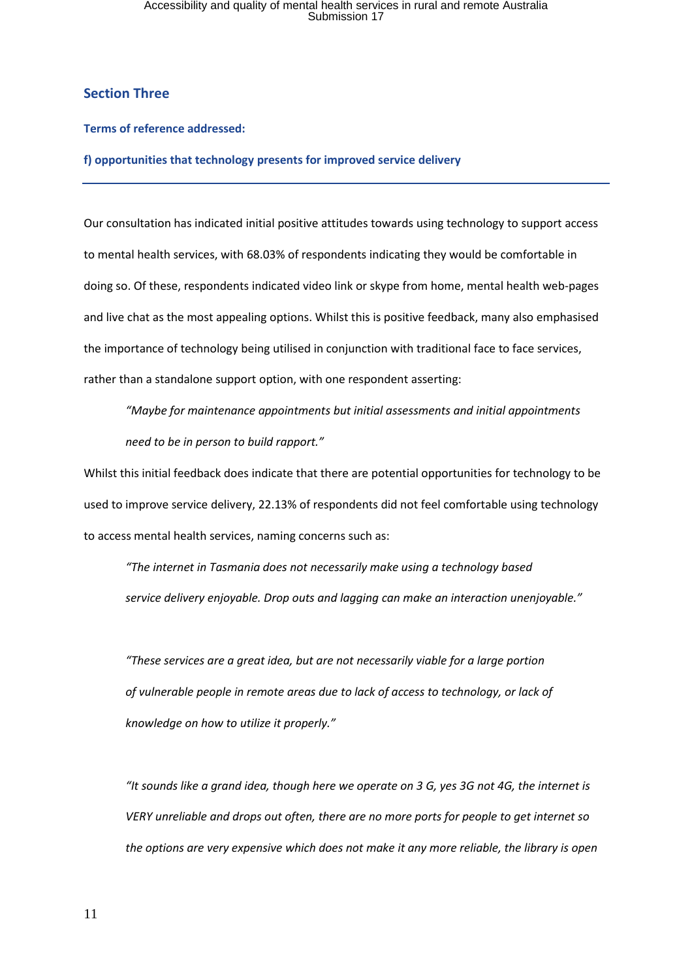### **Section Three**

#### **Terms of reference addressed:**

**f) opportunities that technology presents for improved service delivery**

Our consultation has indicated initial positive attitudes towards using technology to support access to mental health services, with 68.03% of respondents indicating they would be comfortable in doing so. Of these, respondents indicated video link or skype from home, mental health web-pages and live chat as the most appealing options. Whilst this is positive feedback, many also emphasised the importance of technology being utilised in conjunction with traditional face to face services, rather than a standalone support option, with one respondent asserting:

*"Maybe for maintenance appointments but initial assessments and initial appointments need to be in person to build rapport."*

Whilst this initial feedback does indicate that there are potential opportunities for technology to be used to improve service delivery, 22.13% of respondents did not feel comfortable using technology to access mental health services, naming concerns such as:

*"The internet in Tasmania does not necessarily make using a technology based service delivery enjoyable. Drop outs and lagging can make an interaction unenjoyable."*

*"These services are a great idea, but are not necessarily viable for a large portion of vulnerable people in remote areas due to lack of access to technology, or lack of knowledge on how to utilize it properly."*

"It sounds like a grand idea, though here we operate on 3 G, yes 3G not 4G, the internet is *VERY unreliable and drops out often, there are no more ports for people to get internet so the options are very expensive which does not make it any more reliable, the library is open*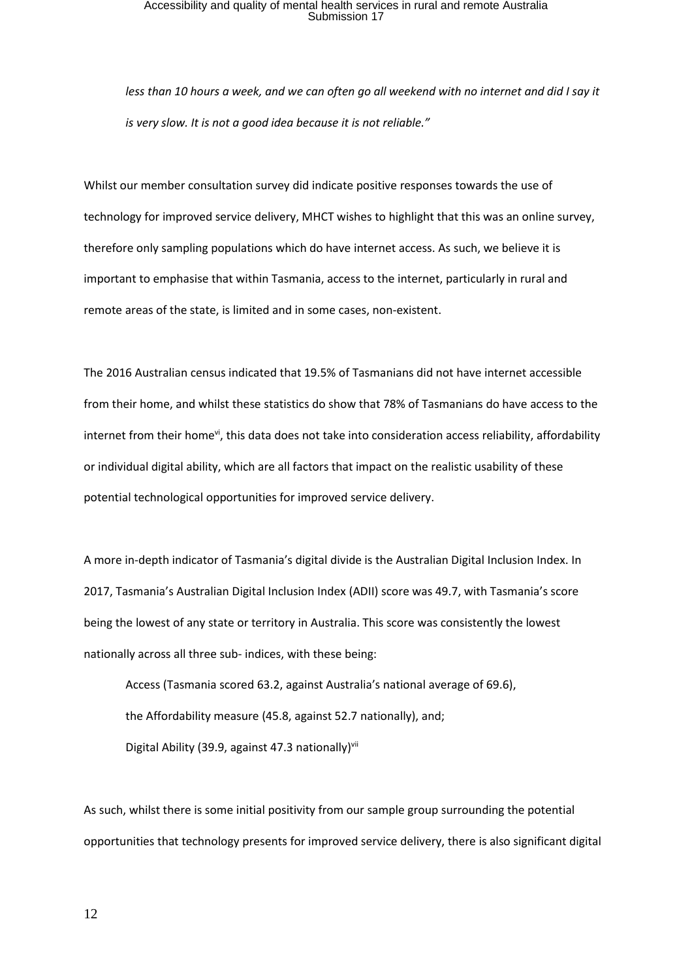less than 10 hours a week, and we can often go all weekend with no internet and did I say it *is very slow. It is not a good idea because it is not reliable."*

Whilst our member consultation survey did indicate positive responses towards the use of technology for improved service delivery, MHCT wishes to highlight that this was an online survey, therefore only sampling populations which do have internet access. As such, we believe it is important to emphasise that within Tasmania, access to the internet, particularly in rural and remote areas of the state, is limited and in some cases, non-existent.

The 2016 Australian census indicated that 19.5% of Tasmanians did not have internet accessible from their home, and whilst these statistics do show that 78% of Tasmanians do have access to the internet from their home<sup>vi</sup>, this data does not take into consideration access reliability, affordability or individual digital ability, which are all factors that impact on the realistic usability of these potential technological opportunities for improved service delivery.

A more in-depth indicator of Tasmania's digital divide is the Australian Digital Inclusion Index. In 2017, Tasmania's Australian Digital Inclusion Index (ADII) score was 49.7, with Tasmania's score being the lowest of any state or territory in Australia. This score was consistently the lowest nationally across all three sub- indices, with these being:

Access (Tasmania scored 63.2, against Australia's national average of 69.6), the Affordability measure (45.8, against 52.7 nationally), and; Digital Ability (39.9, against 47.3 nationally)<sup>vii</sup>

As such, whilst there is some initial positivity from our sample group surrounding the potential opportunities that technology presents for improved service delivery, there is also significant digital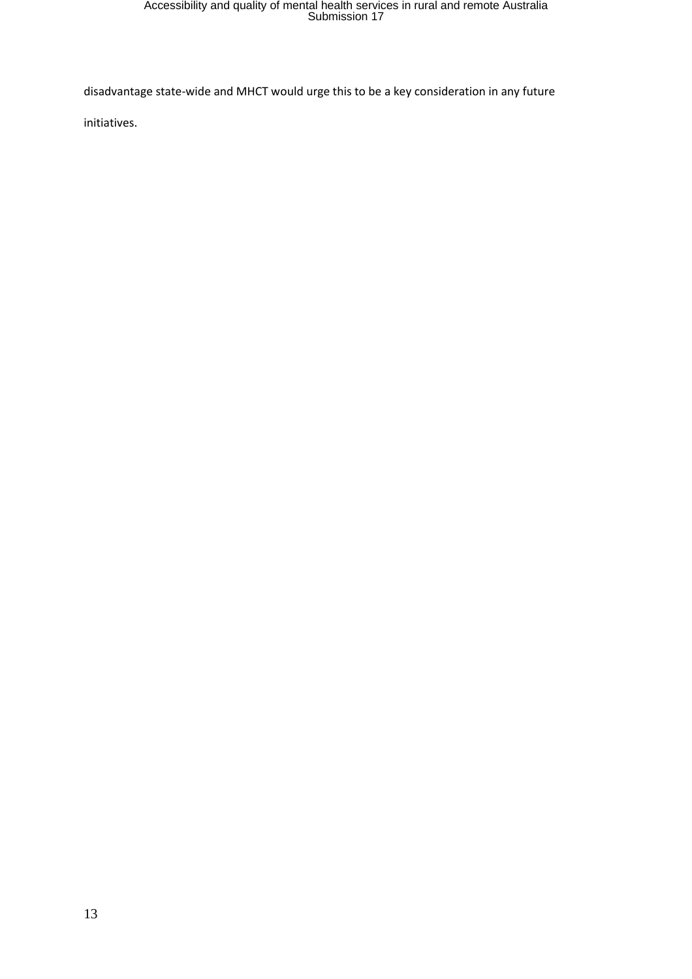disadvantage state-wide and MHCT would urge this to be a key consideration in any future

initiatives.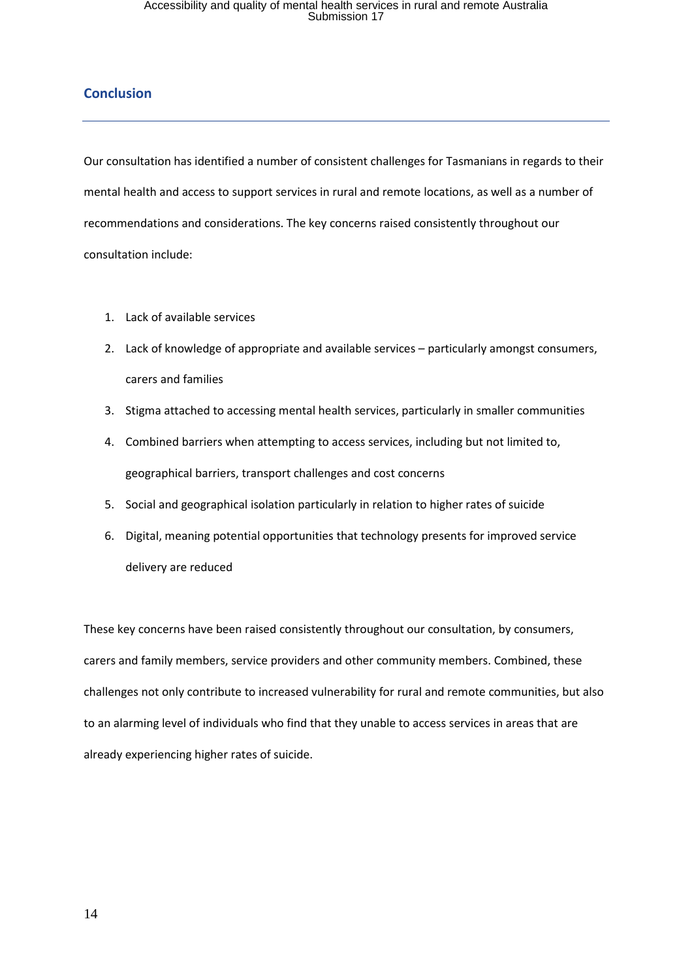### **Conclusion**

Our consultation has identified a number of consistent challenges for Tasmanians in regards to their mental health and access to support services in rural and remote locations, as well as a number of recommendations and considerations. The key concerns raised consistently throughout our consultation include:

- 1. Lack of available services
- 2. Lack of knowledge of appropriate and available services particularly amongst consumers, carers and families
- 3. Stigma attached to accessing mental health services, particularly in smaller communities
- 4. Combined barriers when attempting to access services, including but not limited to, geographical barriers, transport challenges and cost concerns
- 5. Social and geographical isolation particularly in relation to higher rates of suicide
- 6. Digital, meaning potential opportunities that technology presents for improved service delivery are reduced

These key concerns have been raised consistently throughout our consultation, by consumers, carers and family members, service providers and other community members. Combined, these challenges not only contribute to increased vulnerability for rural and remote communities, but also to an alarming level of individuals who find that they unable to access services in areas that are already experiencing higher rates of suicide.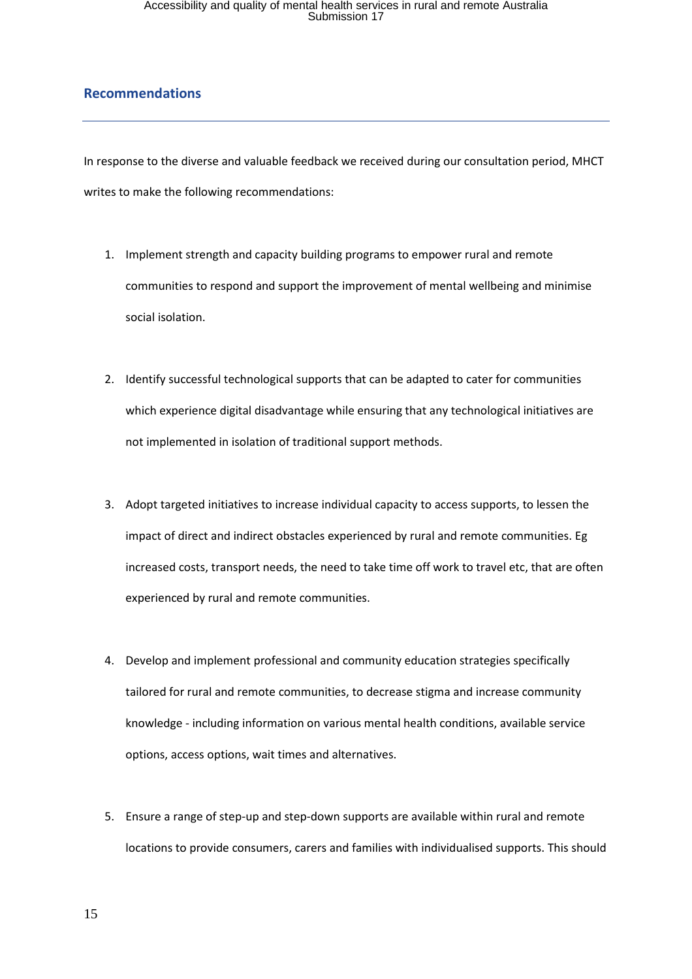### **Recommendations**

In response to the diverse and valuable feedback we received during our consultation period, MHCT writes to make the following recommendations:

- 1. Implement strength and capacity building programs to empower rural and remote communities to respond and support the improvement of mental wellbeing and minimise social isolation.
- 2. Identify successful technological supports that can be adapted to cater for communities which experience digital disadvantage while ensuring that any technological initiatives are not implemented in isolation of traditional support methods.
- 3. Adopt targeted initiatives to increase individual capacity to access supports, to lessen the impact of direct and indirect obstacles experienced by rural and remote communities. Eg increased costs, transport needs, the need to take time off work to travel etc, that are often experienced by rural and remote communities.
- 4. Develop and implement professional and community education strategies specifically tailored for rural and remote communities, to decrease stigma and increase community knowledge - including information on various mental health conditions, available service options, access options, wait times and alternatives.
- 5. Ensure a range of step-up and step-down supports are available within rural and remote locations to provide consumers, carers and families with individualised supports. This should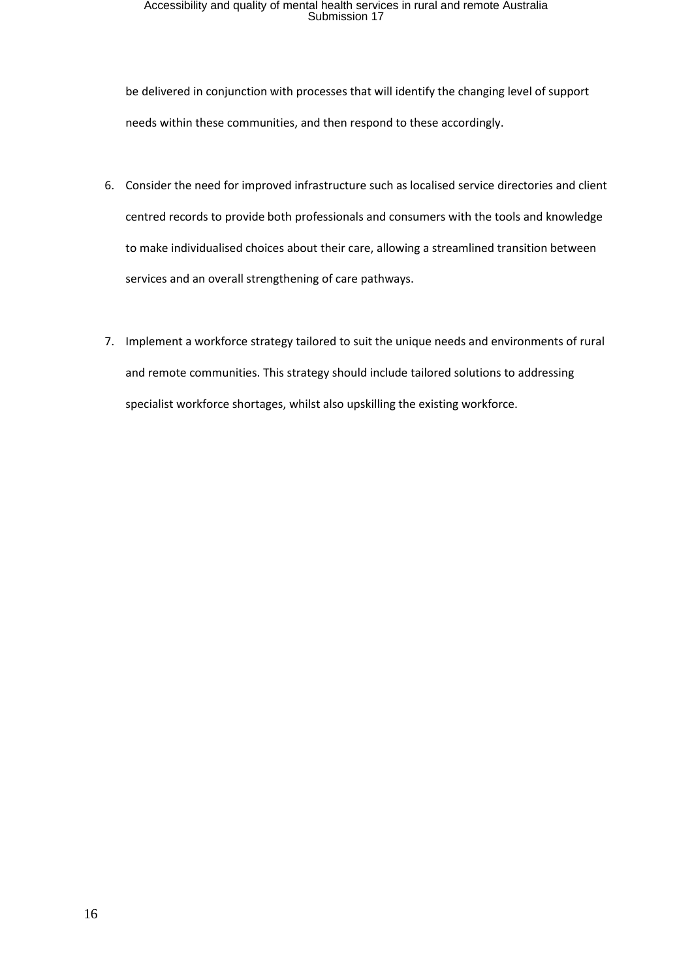be delivered in conjunction with processes that will identify the changing level of support needs within these communities, and then respond to these accordingly.

- 6. Consider the need for improved infrastructure such as localised service directories and client centred records to provide both professionals and consumers with the tools and knowledge to make individualised choices about their care, allowing a streamlined transition between services and an overall strengthening of care pathways.
- 7. Implement a workforce strategy tailored to suit the unique needs and environments of rural and remote communities. This strategy should include tailored solutions to addressing specialist workforce shortages, whilst also upskilling the existing workforce.